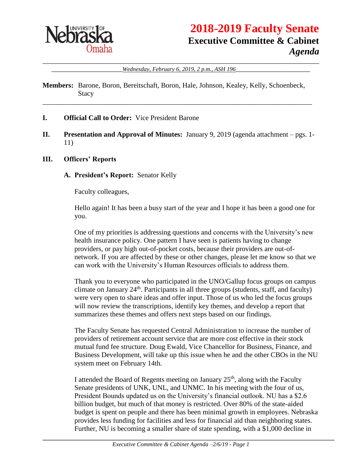

# **2018-2019 Faculty Senate Executive Committee & Cabinet** *Agenda*

\_\_\_\_\_\_\_\_\_\_\_\_\_\_\_\_\_\_\_\_\_\_\_\_\_\_\_\_\_\_\_\_\_\_\_\_\_\_\_\_\_\_\_\_\_\_\_\_\_\_\_\_\_\_\_\_\_\_\_\_\_\_\_\_\_\_\_\_\_\_\_\_\_\_\_\_\_\_ \_\_\_\_\_\_\_\_\_\_\_\_\_\_\_\_\_\_\_\_*Wednesday, February 6, 2019, 2 p.m., ASH 196*\_\_\_\_\_\_\_\_\_\_\_\_\_\_\_\_\_\_\_\_\_

**Members:** Barone, Boron, Bereitschaft, Boron, Hale, Johnson, Kealey, Kelly, Schoenbeck, Stacy

\_\_\_\_\_\_\_\_\_\_\_\_\_\_\_\_\_\_\_\_\_\_\_\_\_\_\_\_\_\_\_\_\_\_\_\_\_\_\_\_\_\_\_\_\_\_\_\_\_\_\_\_\_\_\_\_\_\_\_\_\_\_\_\_\_\_\_\_\_\_\_\_\_\_\_\_

- **I. Official Call to Order:** Vice President Barone
- **II. Presentation and Approval of Minutes:** January 9, 2019 (agenda attachment pgs. 1- 11)

#### **III. Officers' Reports**

#### **A. President's Report:** Senator Kelly

Faculty colleagues,

Hello again! It has been a busy start of the year and I hope it has been a good one for you.

One of my priorities is addressing questions and concerns with the University's new health insurance policy. One pattern I have seen is patients having to change providers, or pay high out-of-pocket costs, because their providers are out-ofnetwork. If you are affected by these or other changes, please let me know so that we can work with the University's Human Resources officials to address them.

Thank you to everyone who participated in the UNO/Gallup focus groups on campus climate on January  $24<sup>th</sup>$ . Participants in all three groups (students, staff, and faculty) were very open to share ideas and offer input. Those of us who led the focus groups will now review the transcriptions, identify key themes, and develop a report that summarizes these themes and offers next steps based on our findings.

The Faculty Senate has requested Central Administration to increase the number of providers of retirement account service that are more cost effective in their stock mutual fund fee structure. Doug Ewald, Vice Chancellor for Business, Finance, and Business Development, will take up this issue when he and the other CBOs in the NU system meet on February 14th.

I attended the Board of Regents meeting on January  $25<sup>th</sup>$ , along with the Faculty Senate presidents of UNK, UNL, and UNMC. In his meeting with the four of us, President Bounds updated us on the University's financial outlook. NU has a \$2.6 billion budget, but much of that money is restricted. Over 80% of the state-aided budget is spent on people and there has been minimal growth in employees. Nebraska provides less funding for facilities and less for financial aid than neighboring states. Further, NU is becoming a smaller share of state spending, with a \$1,000 decline in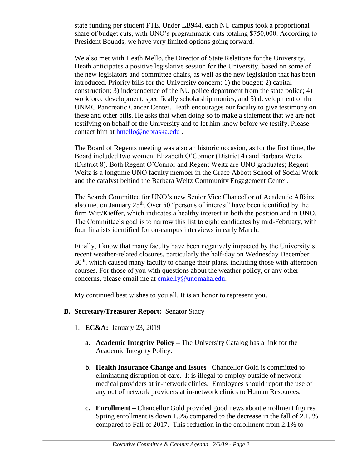state funding per student FTE. Under LB944, each NU campus took a proportional share of budget cuts, with UNO's programmatic cuts totaling \$750,000. According to President Bounds, we have very limited options going forward.

We also met with Heath Mello, the Director of State Relations for the University. Heath anticipates a positive legislative session for the University, based on some of the new legislators and committee chairs, as well as the new legislation that has been introduced. Priority bills for the University concern: 1) the budget; 2) capital construction; 3) independence of the NU police department from the state police; 4) workforce development, specifically scholarship monies; and 5) development of the UNMC Pancreatic Cancer Center. Heath encourages our faculty to give testimony on these and other bills. He asks that when doing so to make a statement that we are not testifying on behalf of the University and to let him know before we testify. Please contact him at [hmello@nebraska.edu](mailto:hmello@nebraska.edu) .

The Board of Regents meeting was also an historic occasion, as for the first time, the Board included two women, Elizabeth O'Connor (District 4) and Barbara Weitz (District 8). Both Regent O'Connor and Regent Weitz are UNO graduates; Regent Weitz is a longtime UNO faculty member in the Grace Abbott School of Social Work and the catalyst behind the Barbara Weitz Community Engagement Center.

The Search Committee for UNO's new Senior Vice Chancellor of Academic Affairs also met on January  $25<sup>th</sup>$ . Over 50 "persons of interest" have been identified by the firm Witt/Kieffer, which indicates a healthy interest in both the position and in UNO. The Committee's goal is to narrow this list to eight candidates by mid-February, with four finalists identified for on-campus interviews in early March.

Finally, I know that many faculty have been negatively impacted by the University's recent weather-related closures, particularly the half-day on Wednesday December  $30<sup>th</sup>$ , which caused many faculty to change their plans, including those with afternoon courses. For those of you with questions about the weather policy, or any other concerns, please email me at [cmkelly@unomaha.edu.](mailto:cmkelly@unomaha.edu)

My continued best wishes to you all. It is an honor to represent you.

#### **B. Secretary/Treasurer Report:** Senator Stacy

- 1. **EC&A:** January 23, 2019
	- **a. Academic Integrity Policy –** The University Catalog has a link for the Academic Integrity Policy**.**
	- **b. Health Insurance Change and Issues –**Chancellor Gold is committed to eliminating disruption of care. It is illegal to employ outside of network medical providers at in-network clinics. Employees should report the use of any out of network providers at in-network clinics to Human Resources.
	- **c. Enrollment –** Chancellor Gold provided good news about enrollment figures. Spring enrollment is down 1.9% compared to the decrease in the fall of 2.1. % compared to Fall of 2017. This reduction in the enrollment from 2.1% to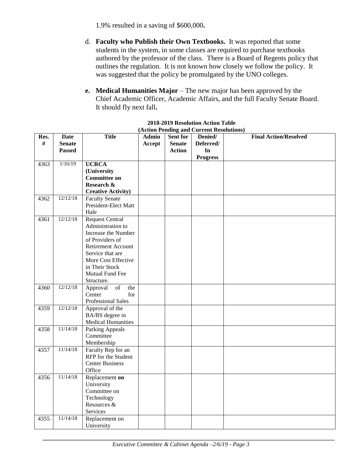1.9% resulted in a saving of \$600,000**.**

- d. **Faculty who Publish their Own Textbooks.** It was reported that some students in the system, in some classes are required to purchase textbooks authored by the professor of the class. There is a Board of Regents policy that outlines the regulation. It is not known how closely we follow the policy. It was suggested that the policy be promulgated by the UNO colleges.
- **e. Medical Humanities Major** The new major has been approved by the Chief Academic Officer, Academic Affairs, and the full Faculty Senate Board. It should fly next fall**.**

| Res.                 | <b>Date</b>                      | <b>Title</b>                                                                                                                                                                                                                      | <b>Admin</b> | Sent for      | Denied/         | <b>Final Action/Resolved</b> |
|----------------------|----------------------------------|-----------------------------------------------------------------------------------------------------------------------------------------------------------------------------------------------------------------------------------|--------------|---------------|-----------------|------------------------------|
| #                    | <b>Senate</b>                    |                                                                                                                                                                                                                                   | Accept       | <b>Senate</b> | Deferred/       |                              |
|                      | <b>Passed</b>                    |                                                                                                                                                                                                                                   |              | <b>Action</b> | In              |                              |
|                      |                                  |                                                                                                                                                                                                                                   |              |               | <b>Progress</b> |                              |
| 4363                 | 1/16/19                          | <b>UCRCA</b>                                                                                                                                                                                                                      |              |               |                 |                              |
|                      |                                  | (University                                                                                                                                                                                                                       |              |               |                 |                              |
|                      |                                  | <b>Committee on</b>                                                                                                                                                                                                               |              |               |                 |                              |
|                      |                                  | Research &                                                                                                                                                                                                                        |              |               |                 |                              |
|                      |                                  | <b>Creative Activity)</b>                                                                                                                                                                                                         |              |               |                 |                              |
| 4362                 | 12/12/18                         | <b>Faculty Senate</b>                                                                                                                                                                                                             |              |               |                 |                              |
|                      |                                  | President-Elect Matt                                                                                                                                                                                                              |              |               |                 |                              |
|                      |                                  | Hale                                                                                                                                                                                                                              |              |               |                 |                              |
| 4361                 | 12/12/18                         | <b>Request Central</b>                                                                                                                                                                                                            |              |               |                 |                              |
|                      |                                  | Administration to                                                                                                                                                                                                                 |              |               |                 |                              |
|                      |                                  | Increase the Number                                                                                                                                                                                                               |              |               |                 |                              |
|                      |                                  | of Providers of                                                                                                                                                                                                                   |              |               |                 |                              |
|                      |                                  | <b>Retirement Account</b>                                                                                                                                                                                                         |              |               |                 |                              |
|                      |                                  | Service that are                                                                                                                                                                                                                  |              |               |                 |                              |
|                      |                                  | More Cost Effective                                                                                                                                                                                                               |              |               |                 |                              |
|                      |                                  | in Their Stock                                                                                                                                                                                                                    |              |               |                 |                              |
|                      |                                  | Mutual Fund Fee                                                                                                                                                                                                                   |              |               |                 |                              |
|                      |                                  | Structure.                                                                                                                                                                                                                        |              |               |                 |                              |
| 4360                 | 12/12/18                         | Approval<br>of<br>the                                                                                                                                                                                                             |              |               |                 |                              |
|                      |                                  | Center<br>for                                                                                                                                                                                                                     |              |               |                 |                              |
|                      |                                  | Professional Sales                                                                                                                                                                                                                |              |               |                 |                              |
| 4359                 | 12/12/18                         | Approval of the                                                                                                                                                                                                                   |              |               |                 |                              |
|                      |                                  | BA/BS degree in                                                                                                                                                                                                                   |              |               |                 |                              |
|                      | 11/14/18                         | <b>Medical Humanities</b>                                                                                                                                                                                                         |              |               |                 |                              |
| 4358                 |                                  | <b>Parking Appeals</b>                                                                                                                                                                                                            |              |               |                 |                              |
|                      |                                  |                                                                                                                                                                                                                                   |              |               |                 |                              |
|                      |                                  |                                                                                                                                                                                                                                   |              |               |                 |                              |
|                      |                                  |                                                                                                                                                                                                                                   |              |               |                 |                              |
|                      |                                  |                                                                                                                                                                                                                                   |              |               |                 |                              |
|                      |                                  |                                                                                                                                                                                                                                   |              |               |                 |                              |
|                      |                                  |                                                                                                                                                                                                                                   |              |               |                 |                              |
|                      |                                  |                                                                                                                                                                                                                                   |              |               |                 |                              |
|                      |                                  |                                                                                                                                                                                                                                   |              |               |                 |                              |
|                      |                                  |                                                                                                                                                                                                                                   |              |               |                 |                              |
|                      |                                  |                                                                                                                                                                                                                                   |              |               |                 |                              |
|                      |                                  |                                                                                                                                                                                                                                   |              |               |                 |                              |
|                      |                                  |                                                                                                                                                                                                                                   |              |               |                 |                              |
|                      |                                  |                                                                                                                                                                                                                                   |              |               |                 |                              |
| 4357<br>4356<br>4355 | 11/14/18<br>11/14/18<br>11/14/18 | Committee<br>Membership<br>Faculty Rep for an<br>RFP for the Student<br><b>Center Business</b><br>Office<br>Replacement on<br>University<br>Committee on<br>Technology<br>Resources &<br>Services<br>Replacement on<br>University |              |               |                 |                              |

#### **2018-2019 Resolution Action Table (Action Pending and Current Resolutions)**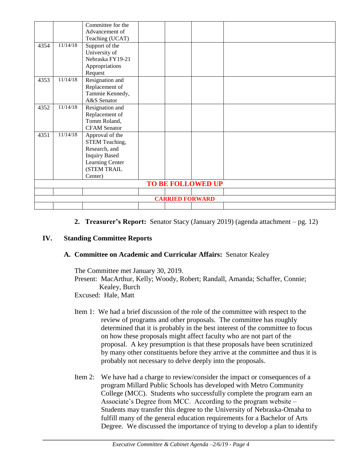|                          |          | Committee for the    |  |  |  |  |
|--------------------------|----------|----------------------|--|--|--|--|
|                          |          | Advancement of       |  |  |  |  |
|                          |          | Teaching (UCAT)      |  |  |  |  |
| 4354                     | 11/14/18 | Support of the       |  |  |  |  |
|                          |          | University of        |  |  |  |  |
|                          |          | Nebraska FY19-21     |  |  |  |  |
|                          |          | Appropriations       |  |  |  |  |
|                          |          | Request              |  |  |  |  |
| 4353                     | 11/14/18 | Resignation and      |  |  |  |  |
|                          |          | Replacement of       |  |  |  |  |
|                          |          | Tammie Kennedy,      |  |  |  |  |
|                          |          | A&S Senator          |  |  |  |  |
| 4352                     | 11/14/18 | Resignation and      |  |  |  |  |
|                          |          | Replacement of       |  |  |  |  |
|                          |          | Tomm Roland,         |  |  |  |  |
|                          |          | <b>CFAM</b> Senator  |  |  |  |  |
| 4351                     | 11/14/18 | Approval of the      |  |  |  |  |
|                          |          | STEM Teaching,       |  |  |  |  |
|                          |          | Research, and        |  |  |  |  |
|                          |          | <b>Inquiry Based</b> |  |  |  |  |
|                          |          | Learning Center      |  |  |  |  |
|                          |          | (STEM TRAIL          |  |  |  |  |
|                          |          | Center)              |  |  |  |  |
| <b>TO BE FOLLOWED UP</b> |          |                      |  |  |  |  |
|                          |          |                      |  |  |  |  |
| <b>CARRIED FORWARD</b>   |          |                      |  |  |  |  |
|                          |          |                      |  |  |  |  |

#### **2. Treasurer's Report:** Senator Stacy (January 2019) (agenda attachment – pg. 12)

#### **IV. Standing Committee Reports**

#### **A. Committee on Academic and Curricular Affairs:** Senator Kealey

The Committee met January 30, 2019. Present: MacArthur, Kelly; Woody, Robert; Randall, Amanda; Schaffer, Connie; Kealey, Burch Excused: Hale, Matt

- Item 1: We had a brief discussion of the role of the committee with respect to the review of programs and other proposals. The committee has roughly determined that it is probably in the best interest of the committee to focus on how these proposals might affect faculty who are not part of the proposal. A key presumption is that these proposals have been scrutinized by many other constituents before they arrive at the committee and thus it is probably not necessary to delve deeply into the proposals.
- Item 2: We have had a charge to review/consider the impact or consequences of a program Millard Public Schools has developed with Metro Community College (MCC). Students who successfully complete the program earn an Associate's Degree from MCC. According to the program website – Students may transfer this degree to the University of Nebraska-Omaha to fulfill many of the general education requirements for a Bachelor of Arts Degree. We discussed the importance of trying to develop a plan to identify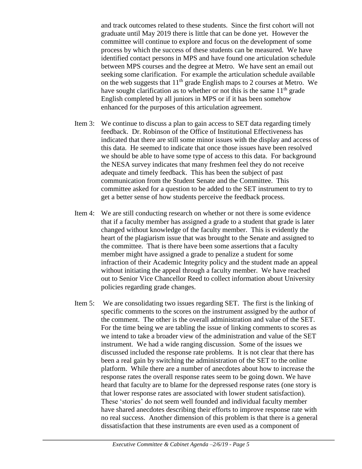and track outcomes related to these students. Since the first cohort will not graduate until May 2019 there is little that can be done yet. However the committee will continue to explore and focus on the development of some process by which the success of these students can be measured. We have identified contact persons in MPS and have found one articulation schedule between MPS courses and the degree at Metro. We have sent an email out seeking some clarification. For example the articulation schedule available on the web suggests that  $11<sup>th</sup>$  grade English maps to 2 courses at Metro. We have sought clarification as to whether or not this is the same  $11<sup>th</sup>$  grade English completed by all juniors in MPS or if it has been somehow enhanced for the purposes of this articulation agreement.

- Item 3: We continue to discuss a plan to gain access to SET data regarding timely feedback. Dr. Robinson of the Office of Institutional Effectiveness has indicated that there are still some minor issues with the display and access of this data. He seemed to indicate that once those issues have been resolved we should be able to have some type of access to this data. For background the NESA survey indicates that many freshmen feel they do not receive adequate and timely feedback. This has been the subject of past communication from the Student Senate and the Committee. This committee asked for a question to be added to the SET instrument to try to get a better sense of how students perceive the feedback process.
- Item 4: We are still conducting research on whether or not there is some evidence that if a faculty member has assigned a grade to a student that grade is later changed without knowledge of the faculty member. This is evidently the heart of the plagiarism issue that was brought to the Senate and assigned to the committee. That is there have been some assertions that a faculty member might have assigned a grade to penalize a student for some infraction of their Academic Integrity policy and the student made an appeal without initiating the appeal through a faculty member. We have reached out to Senior Vice Chancellor Reed to collect information about University policies regarding grade changes.
- Item 5: We are consolidating two issues regarding SET. The first is the linking of specific comments to the scores on the instrument assigned by the author of the comment. The other is the overall administration and value of the SET. For the time being we are tabling the issue of linking comments to scores as we intend to take a broader view of the administration and value of the SET instrument. We had a wide ranging discussion. Some of the issues we discussed included the response rate problems. It is not clear that there has been a real gain by switching the administration of the SET to the online platform. While there are a number of anecdotes about how to increase the response rates the overall response rates seem to be going down. We have heard that faculty are to blame for the depressed response rates (one story is that lower response rates are associated with lower student satisfaction). These 'stories' do not seem well founded and individual faculty member have shared anecdotes describing their efforts to improve response rate with no real success. Another dimension of this problem is that there is a general dissatisfaction that these instruments are even used as a component of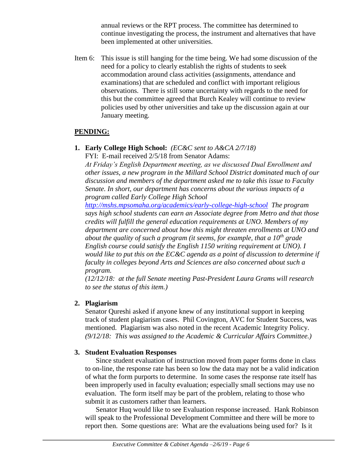annual reviews or the RPT process. The committee has determined to continue investigating the process, the instrument and alternatives that have been implemented at other universities.

Item 6: This issue is still hanging for the time being. We had some discussion of the need for a policy to clearly establish the rights of students to seek accommodation around class activities (assignments, attendance and examinations) that are scheduled and conflict with important religious observations. There is still some uncertainty with regards to the need for this but the committee agreed that Burch Kealey will continue to review policies used by other universities and take up the discussion again at our January meeting.

### **PENDING:**

**1. Early College High School:** *(EC&C sent to A&CA 2/7/18)*

FYI: E-mail received 2/5/18 from Senator Adams:

*At Friday's English Department meeting, as we discussed Dual Enrollment and other issues, a new program in the Millard School District dominated much of our discussion and members of the department asked me to take this issue to Faculty Senate. In short, our department has concerns about the various impacts of a program called Early College High School* 

*<http://mshs.mpsomaha.org/academics/early-college-high-school> The program says high school students can earn an Associate degree from Metro and that those credits will fulfill the general education requirements at UNO. Members of my department are concerned about how this might threaten enrollments at UNO and about the quality of such a program (it seems, for example, that a 10th grade English course could satisfy the English 1150 writing requirement at UNO). I would like to put this on the EC&C agenda as a point of discussion to determine if faculty in colleges beyond Arts and Sciences are also concerned about such a program.*

*(12/12/18: at the full Senate meeting Past-President Laura Grams will research to see the status of this item.)*

# **2. Plagiarism**

Senator Qureshi asked if anyone knew of any institutional support in keeping track of student plagiarism cases. Phil Covington, AVC for Student Success, was mentioned. Plagiarism was also noted in the recent Academic Integrity Policy. *(9/12/18: This was assigned to the Academic & Curricular Affairs Committee.)* 

#### **3. Student Evaluation Responses**

Since student evaluation of instruction moved from paper forms done in class to on-line, the response rate has been so low the data may not be a valid indication of what the form purports to determine. In some cases the response rate itself has been improperly used in faculty evaluation; especially small sections may use no evaluation. The form itself may be part of the problem, relating to those who submit it as customers rather than learners.

Senator Huq would like to see Evaluation response increased. Hank Robinson will speak to the Professional Development Committee and there will be more to report then. Some questions are: What are the evaluations being used for? Is it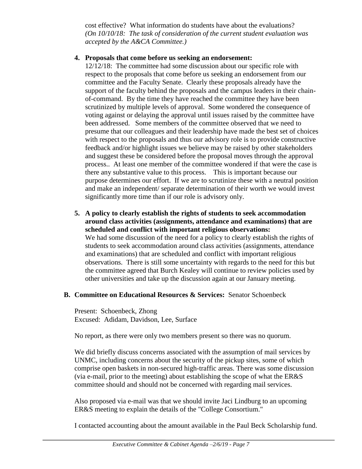cost effective? What information do students have about the evaluations? *(On 10/10/18: The task of consideration of the current student evaluation was accepted by the A&CA Committee.)*

#### **4. Proposals that come before us seeking an endorsement:**

12/12/18: The committee had some discussion about our specific role with respect to the proposals that come before us seeking an endorsement from our committee and the Faculty Senate. Clearly these proposals already have the support of the faculty behind the proposals and the campus leaders in their chainof-command. By the time they have reached the committee they have been scrutinized by multiple levels of approval. Some wondered the consequence of voting against or delaying the approval until issues raised by the committee have been addressed. Some members of the committee observed that we need to presume that our colleagues and their leadership have made the best set of choices with respect to the proposals and thus our advisory role is to provide constructive feedback and/or highlight issues we believe may be raised by other stakeholders and suggest these be considered before the proposal moves through the approval process.. At least one member of the committee wondered if that were the case is there any substantive value to this process. This is important because our purpose determines our effort. If we are to scrutinize these with a neutral position and make an independent/ separate determination of their worth we would invest significantly more time than if our role is advisory only.

**5. A policy to clearly establish the rights of students to seek accommodation around class activities (assignments, attendance and examinations) that are scheduled and conflict with important religious observations:** We had some discussion of the need for a policy to clearly establish the rights of students to seek accommodation around class activities (assignments, attendance and examinations) that are scheduled and conflict with important religious observations. There is still some uncertainty with regards to the need for this but the committee agreed that Burch Kealey will continue to review policies used by other universities and take up the discussion again at our January meeting.

# **B. Committee on Educational Resources & Services:** Senator Schoenbeck

Present: Schoenbeck, Zhong Excused: Adidam, Davidson, Lee, Surface

No report, as there were only two members present so there was no quorum.

We did briefly discuss concerns associated with the assumption of mail services by UNMC, including concerns about the security of the pickup sites, some of which comprise open baskets in non-secured high-traffic areas. There was some discussion (via e-mail, prior to the meeting) about establishing the scope of what the ER&S committee should and should not be concerned with regarding mail services.

Also proposed via e-mail was that we should invite Jaci Lindburg to an upcoming ER&S meeting to explain the details of the "College Consortium."

I contacted accounting about the amount available in the Paul Beck Scholarship fund.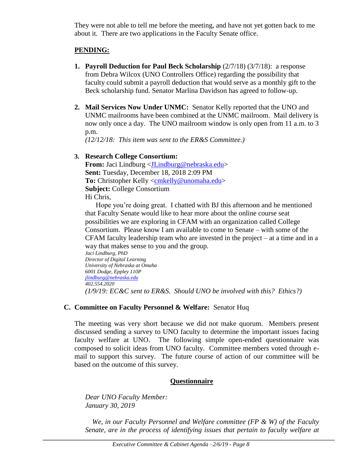They were not able to tell me before the meeting, and have not yet gotten back to me about it. There are two applications in the Faculty Senate office.

### **PENDING:**

- **1. Payroll Deduction for Paul Beck Scholarship**  $(2/7/18)$   $(3/7/18)$ : a response from Debra Wilcox (UNO Controllers Office) regarding the possibility that faculty could submit a payroll deduction that would serve as a monthly gift to the Beck scholarship fund. Senator Marlina Davidson has agreed to follow-up.
- **2. Mail Services Now Under UNMC:** Senator Kelly reported that the UNO and UNMC mailrooms have been combined at the UNMC mailroom. Mail delivery is now only once a day. The UNO mailroom window is only open from 11 a.m. to 3 p.m.

*(12/12/18: This item was sent to the ER&S Committee.)*

### **3. Research College Consortium:**

**From:** Jaci Lindburg [<JLindburg@nebraska.edu>](mailto:JLindburg@nebraska.edu) **Sent:** Tuesday, December 18, 2018 2:09 PM **To:** Christopher Kelly [<cmkelly@unomaha.edu>](mailto:cmkelly@unomaha.edu) **Subject:** College Consortium Hi Chris,

Hope you're doing great. I chatted with BJ this afternoon and he mentioned that Faculty Senate would like to hear more about the online course seat possibilities we are exploring in CFAM with an organization called College Consortium. Please know I am available to come to Senate – with some of the CFAM faculty leadership team who are invested in the project – at a time and in a way that makes sense to you and the group.

*Jaci Lindburg, PhD Director of Digital Learning University of Nebraska at Omaha 6001 Dodge, Eppley 110P [jlindburg@nebraska.edu](mailto:jlindburg@nebraska.edu) 402.554.2020 (1/9/19: EC&C sent to ER&S. Should UNO be involved with this? Ethics?)*

#### **C. Committee on Faculty Personnel & Welfare:** Senator Huq

The meeting was very short because we did not make quorum. Members present discussed sending a survey to UNO faculty to determine the important issues facing faculty welfare at UNO. The following simple open-ended questionnaire was composed to solicit ideas from UNO faculty. Committee members voted through email to support this survey. The future course of action of our committee will be based on the outcome of this survey.

# **Questionnaire**

*Dear UNO Faculty Member: January 30, 2019*

 *We, in our Faculty Personnel and Welfare committee (FP & W) of the Faculty Senate, are in the process of identifying issues that pertain to faculty welfare at*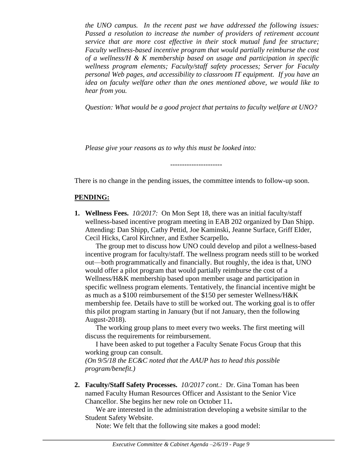*the UNO campus. In the recent past we have addressed the following issues: Passed a resolution to increase the number of providers of retirement account service that are more cost effective in their stock mutual fund fee structure; Faculty wellness-based incentive program that would partially reimburse the cost of a wellness/H & K membership based on usage and participation in specific wellness program elements; Faculty/staff safety processes; Server for Faculty personal Web pages, and accessibility to classroom IT equipment. If you have an idea on faculty welfare other than the ones mentioned above, we would like to hear from you.*

*Question: What would be a good project that pertains to faculty welfare at UNO?*

*Please give your reasons as to why this must be looked into:*

There is no change in the pending issues, the committee intends to follow-up soon.

----------------------

### **PENDING:**

**1. Wellness Fees.** *10/2017:*On Mon Sept 18, there was an initial faculty/staff wellness-based incentive program meeting in EAB 202 organized by Dan Shipp. Attending: Dan Shipp, Cathy Pettid, Joe Kaminski, Jeanne Surface, Griff Elder, Cecil Hicks, Carol Kirchner, and Esther Scarpello**.**

The group met to discuss how UNO could develop and pilot a wellness-based incentive program for faculty/staff. The wellness program needs still to be worked out—both programmatically and financially. But roughly, the idea is that, UNO would offer a pilot program that would partially reimburse the cost of a Wellness/H&K membership based upon member usage and participation in specific wellness program elements. Tentatively, the financial incentive might be as much as a \$100 reimbursement of the \$150 per semester Wellness/H&K membership fee. Details have to still be worked out. The working goal is to offer this pilot program starting in January (but if not January, then the following August-2018).

The working group plans to meet every two weeks. The first meeting will discuss the requirements for reimbursement.

I have been asked to put together a Faculty Senate Focus Group that this working group can consult.

*(On 9/5/18 the EC&C noted that the AAUP has to head this possible program/benefit.)*

**2. Faculty/Staff Safety Processes.** *10/2017 cont.:* Dr. Gina Toman has been named Faculty Human Resources Officer and Assistant to the Senior Vice Chancellor. She begins her new role on October 11**.**

We are interested in the administration developing a website similar to the Student Safety Website.

Note: We felt that the following site makes a good model: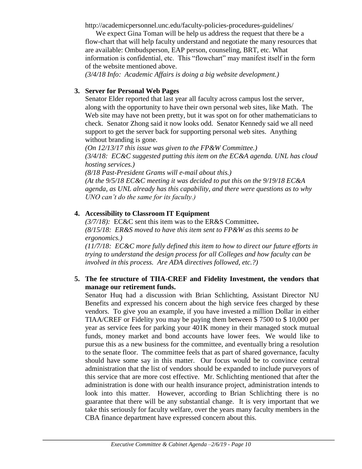http://academicpersonnel.unc.edu/faculty-policies-procedures-guidelines/

We expect Gina Toman will be help us address the request that there be a flow-chart that will help faculty understand and negotiate the many resources that are available: Ombudsperson, EAP person, counseling, BRT, etc. What information is confidential, etc. This "flowchart" may manifest itself in the form of the website mentioned above.

*(3/4/18 Info: Academic Affairs is doing a big website development.)*

## **3. Server for Personal Web Pages**

Senator Elder reported that last year all faculty across campus lost the server, along with the opportunity to have their own personal web sites, like Math. The Web site may have not been pretty, but it was spot on for other mathematicians to check. Senator Zhong said it now looks odd. Senator Kennedy said we all need support to get the server back for supporting personal web sites. Anything without branding is gone.

*(On 12/13/17 this issue was given to the FP&W Committee.) (3/4/18: EC&C suggested putting this item on the EC&A agenda. UNL has cloud hosting services.)*

*(8/18 Past-President Grams will e-mail about this.) (At the 9/5/18 EC&C meeting it was decided to put this on the 9/19/18 EC&A agenda, as UNL already has this capability, and there were questions as to why UNO can't do the same for its faculty.)*

### **4. Accessibility to Classroom IT Equipment**

*(3/7/18):* EC&C sent this item was to the ER&S Committee**.**  *(8/15/18: ER&S moved to have this item sent to FP&W as this seems to be ergonomics.)* 

*(11/7/18: EC&C more fully defined this item to how to direct our future efforts in trying to understand the design process for all Colleges and how faculty can be involved in this process. Are ADA directives followed, etc.?)* 

### **5. The fee structure of TIIA-CREF and Fidelity Investment, the vendors that manage our retirement funds.**

Senator Huq had a discussion with Brian Schlichting, Assistant Director NU Benefits and expressed his concern about the high service fees charged by these vendors. To give you an example, if you have invested a million Dollar in either TIAA/CREF or Fidelity you may be paying them between \$ 7500 to \$ 10,000 per year as service fees for parking your 401K money in their managed stock mutual funds, money market and bond accounts have lower fees. We would like to pursue this as a new business for the committee, and eventually bring a resolution to the senate floor. The committee feels that as part of shared governance, faculty should have some say in this matter. Our focus would be to convince central administration that the list of vendors should be expanded to include purveyors of this service that are more cost effective. Mr. Schlichting mentioned that after the administration is done with our health insurance project, administration intends to look into this matter. However, according to Brian Schlichting there is no guarantee that there will be any substantial change. It is very important that we take this seriously for faculty welfare, over the years many faculty members in the CBA finance department have expressed concern about this.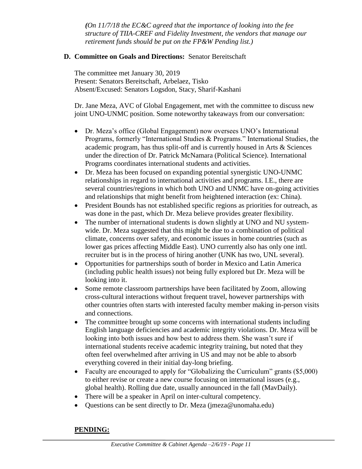*(On 11/7/18 the EC&C agreed that the importance of looking into the fee structure of TIIA-CREF and Fidelity Investment, the vendors that manage our retirement funds should be put on the FP&W Pending list.)*

#### **D. Committee on Goals and Directions:** Senator Bereitschaft

The committee met January 30, 2019 Present: Senators Bereitschaft, Arbelaez, Tisko Absent/Excused: Senators Logsdon, Stacy, Sharif-Kashani

Dr. Jane Meza, AVC of Global Engagement, met with the committee to discuss new joint UNO-UNMC position. Some noteworthy takeaways from our conversation:

- Dr. Meza's office (Global Engagement) now oversees UNO's International Programs, formerly "International Studies & Programs." International Studies, the academic program, has thus split-off and is currently housed in Arts & Sciences under the direction of Dr. Patrick McNamara (Political Science). International Programs coordinates international students and activities.
- Dr. Meza has been focused on expanding potential synergistic UNO-UNMC relationships in regard to international activities and programs. I.E., there are several countries/regions in which both UNO and UNMC have on-going activities and relationships that might benefit from heightened interaction (ex: China).
- President Bounds has not established specific regions as priorities for outreach, as was done in the past, which Dr. Meza believe provides greater flexibility.
- The number of international students is down slightly at UNO and NU systemwide. Dr. Meza suggested that this might be due to a combination of political climate, concerns over safety, and economic issues in home countries (such as lower gas prices affecting Middle East). UNO currently also has only one intl. recruiter but is in the process of hiring another (UNK has two, UNL several).
- Opportunities for partnerships south of border in Mexico and Latin America (including public health issues) not being fully explored but Dr. Meza will be looking into it.
- Some remote classroom partnerships have been facilitated by Zoom, allowing cross-cultural interactions without frequent travel, however partnerships with other countries often starts with interested faculty member making in-person visits and connections.
- The committee brought up some concerns with international students including English language deficiencies and academic integrity violations. Dr. Meza will be looking into both issues and how best to address them. She wasn't sure if international students receive academic integrity training, but noted that they often feel overwhelmed after arriving in US and may not be able to absorb everything covered in their initial day-long briefing.
- Faculty are encouraged to apply for "Globalizing the Curriculum" grants (\$5,000) to either revise or create a new course focusing on international issues (e.g., global health). Rolling due date, usually announced in the fall (MavDaily).
- There will be a speaker in April on inter-cultural competency.
- Questions can be sent directly to Dr. Meza (jmeza@unomaha.edu)

# **PENDING:**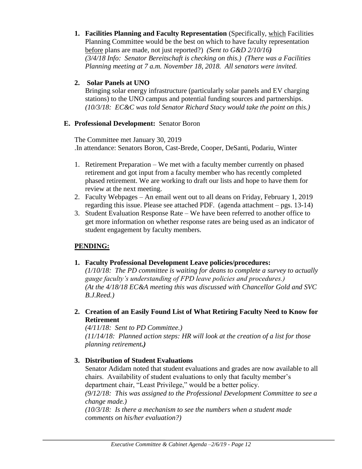**1. Facilities Planning and Faculty Representation** (Specifically, which Facilities Planning Committee would be the best on which to have faculty representation before plans are made, not just reported?) *(Sent to G&D 2/10/16) (3/4/18 Info: Senator Bereitschaft is checking on this.) (There was a Facilities Planning meeting at 7 a.m. November 18, 2018. All senators were invited.*

#### **2. Solar Panels at UNO**

Bringing solar energy infrastructure (particularly solar panels and EV charging stations) to the UNO campus and potential funding sources and partnerships. *(10/3/18: EC&C was told Senator Richard Stacy would take the point on this.)*

#### **E. Professional Development:** Senator Boron

The Committee met January 30, 2019 .In attendance: Senators Boron, Cast-Brede, Cooper, DeSanti, Podariu, Winter

- 1. Retirement Preparation We met with a faculty member currently on phased retirement and got input from a faculty member who has recently completed phased retirement. We are working to draft our lists and hope to have them for review at the next meeting.
- 2. Faculty Webpages An email went out to all deans on Friday, February 1, 2019 regarding this issue. Please see attached PDF. (agenda attachment – pgs. 13-14)
- 3. Student Evaluation Response Rate We have been referred to another office to get more information on whether response rates are being used as an indicator of student engagement by faculty members.

# **PENDING:**

#### **1. Faculty Professional Development Leave policies/procedures:**

*(1/10/18: The PD committee is waiting for deans to complete a survey to actually gauge faculty's understanding of FPD leave policies and procedures.) (At the 4/18/18 EC&A meeting this was discussed with Chancellor Gold and SVC B.J.Reed.)*

**2. Creation of an Easily Found List of What Retiring Faculty Need to Know for Retirement**

*(4/11/18: Sent to PD Committee.) (11/14/18: Planned action steps: HR will look at the creation of a list for those planning retirement.)*

#### **3. Distribution of Student Evaluations**

Senator Adidam noted that student evaluations and grades are now available to all chairs. Availability of student evaluations to only that faculty member's department chair, "Least Privilege," would be a better policy.

*(9/12/18: This was assigned to the Professional Development Committee to see a change made.)*

*(10/3/18: Is there a mechanism to see the numbers when a student made comments on his/her evaluation?)*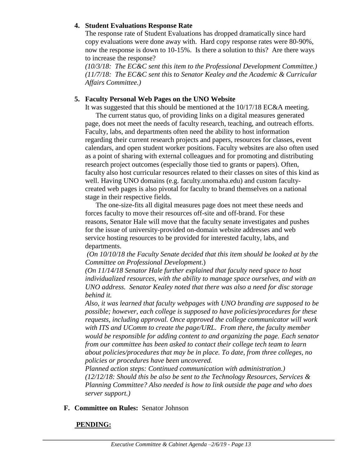#### **4. Student Evaluations Response Rate**

The response rate of Student Evaluations has dropped dramatically since hard copy evaluations were done away with. Hard copy response rates were 80-90%, now the response is down to 10-15%. Is there a solution to this? Are there ways to increase the response?

*(10/3/18: The EC&C sent this item to the Professional Development Committee.) (11/7/18: The EC&C sent this to Senator Kealey and the Academic & Curricular Affairs Committee.)*

#### **5. Faculty Personal Web Pages on the UNO Website**

It was suggested that this should be mentioned at the 10/17/18 EC&A meeting.

The current status quo, of providing links on a digital measures generated page, does not meet the needs of faculty research, teaching, and outreach efforts. Faculty, labs, and departments often need the ability to host information regarding their current research projects and papers, resources for classes, event calendars, and open student worker positions. Faculty websites are also often used as a point of sharing with external colleagues and for promoting and distributing research project outcomes (especially those tied to grants or papers). Often, faculty also host curricular resources related to their classes on sites of this kind as well. Having UNO domains (e.g. faculty.unomaha.edu) and custom facultycreated web pages is also pivotal for faculty to brand themselves on a national stage in their respective fields.

The one-size-fits all digital measures page does not meet these needs and forces faculty to move their resources off-site and off-brand. For these reasons, Senator Hale will move that the faculty senate investigates and pushes for the issue of university-provided on-domain website addresses and web service hosting resources to be provided for interested faculty, labs, and departments.

*(On 10/10/18 the Faculty Senate decided that this item should be looked at by the Committee on Professional Development*.)

*(On 11/14/18 Senator Hale further explained that faculty need space to host individualized resources, with the ability to manage space ourselves, and with an UNO address. Senator Kealey noted that there was also a need for disc storage behind it.*

*Also, it was learned that faculty webpages with UNO branding are supposed to be possible; however, each college is supposed to have policies/procedures for these requests, including approval. Once approved the college communicator will work with ITS and UComm to create the page/URL. From there, the faculty member would be responsible for adding content to and organizing the page. Each senator from our committee has been asked to contact their college tech team to learn about policies/procedures that may be in place. To date, from three colleges, no policies or procedures have been uncovered.* 

*Planned action steps: Continued communication with administration.) (12/12/18: Should this be also be sent to the Technology Resources, Services & Planning Committee? Also needed is how to link outside the page and who does server support.)*

**F. Committee on Rules:** Senator Johnson

#### **PENDING:**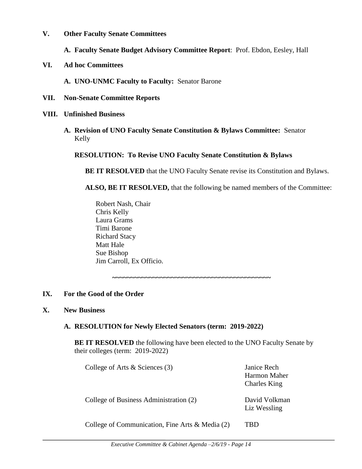**V. Other Faculty Senate Committees**

**A. Faculty Senate Budget Advisory Committee Report**: Prof. Ebdon, Eesley, Hall

**VI. Ad hoc Committees**

**A. UNO-UNMC Faculty to Faculty:** Senator Barone

- **VII. Non-Senate Committee Reports**
- **VIII. Unfinished Business**
	- **A. Revision of UNO Faculty Senate Constitution & Bylaws Committee:** Senator Kelly

#### **RESOLUTION: To Revise UNO Faculty Senate Constitution & Bylaws**

**BE IT RESOLVED** that the UNO Faculty Senate revise its Constitution and Bylaws.

**ALSO, BE IT RESOLVED,** that the following be named members of the Committee:

Robert Nash, Chair Chris Kelly Laura Grams Timi Barone Richard Stacy Matt Hale Sue Bishop Jim Carroll, Ex Officio.

**~~~~~~~~~~~~~~~~~~~~~~~~~~~~~~~~~~~~~~~~~~~**

#### **IX. For the Good of the Order**

#### **X. New Business**

#### **A. RESOLUTION for Newly Elected Senators (term: 2019-2022)**

**BE IT RESOLVED** the following have been elected to the UNO Faculty Senate by their colleges (term: 2019-2022)

| College of Arts $\&$ Sciences (3)                  | Janice Rech<br>Harmon Maher<br><b>Charles King</b> |
|----------------------------------------------------|----------------------------------------------------|
| College of Business Administration (2)             | David Volkman<br>Liz Wessling                      |
| $C_0$ llege of Communication Fine Arts & Media (2) |                                                    |

College of Communication, Fine Arts & Media (2) TBD